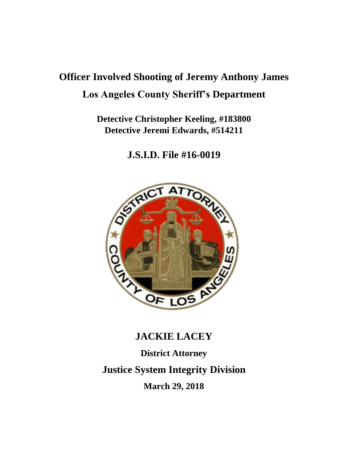# **Officer Involved Shooting of Jeremy Anthony James Los Angeles County Sheriff's Department**

**Detective Christopher Keeling, #183800 Detective Jeremi Edwards, #514211**

**J.S.I.D. File #16-0019**



# **JACKIE LACEY**

**District Attorney Justice System Integrity Division March 29, 2018**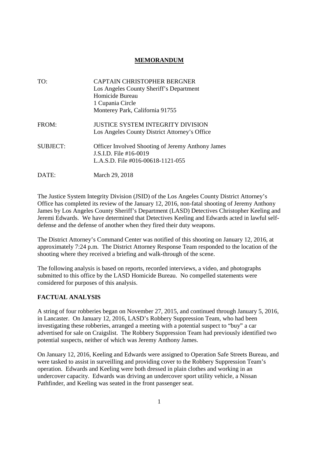# **MEMORANDUM**

| TO:             | CAPTAIN CHRISTOPHER BERGNER                       |
|-----------------|---------------------------------------------------|
|                 | Los Angeles County Sheriff's Department           |
|                 | Homicide Bureau                                   |
|                 | 1 Cupania Circle                                  |
|                 | Monterey Park, California 91755                   |
| FROM:           | JUSTICE SYSTEM INTEGRITY DIVISION                 |
|                 | Los Angeles County District Attorney's Office     |
| <b>SUBJECT:</b> | Officer Involved Shooting of Jeremy Anthony James |
|                 | J.S.I.D. File $#16-0019$                          |
|                 | L.A.S.D. File $\#016 - 00618 - 1121 - 055$        |
| DATE:           | March 29, 2018                                    |

The Justice System Integrity Division (JSID) of the Los Angeles County District Attorney's Office has completed its review of the January 12, 2016, non-fatal shooting of Jeremy Anthony James by Los Angeles County Sheriff's Department (LASD) Detectives Christopher Keeling and Jeremi Edwards. We have determined that Detectives Keeling and Edwards acted in lawful selfdefense and the defense of another when they fired their duty weapons.

The District Attorney's Command Center was notified of this shooting on January 12, 2016, at approximately 7:24 p.m. The District Attorney Response Team responded to the location of the shooting where they received a briefing and walk-through of the scene.

The following analysis is based on reports, recorded interviews, a video, and photographs submitted to this office by the LASD Homicide Bureau. No compelled statements were considered for purposes of this analysis.

## **FACTUAL ANALYSIS**

A string of four robberies began on November 27, 2015, and continued through January 5, 2016, in Lancaster. On January 12, 2016, LASD's Robbery Suppression Team, who had been investigating these robberies, arranged a meeting with a potential suspect to "buy" a car advertised for sale on Craigslist. The Robbery Suppression Team had previously identified two potential suspects, neither of which was Jeremy Anthony James.

On January 12, 2016, Keeling and Edwards were assigned to Operation Safe Streets Bureau, and were tasked to assist in surveilling and providing cover to the Robbery Suppression Team's operation. Edwards and Keeling were both dressed in plain clothes and working in an undercover capacity. Edwards was driving an undercover sport utility vehicle, a Nissan Pathfinder, and Keeling was seated in the front passenger seat.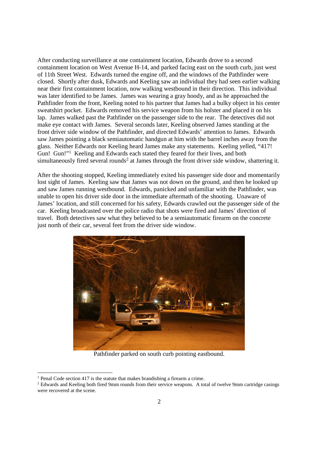After conducting surveillance at one containment location, Edwards drove to a second containment location on West Avenue H-14, and parked facing east on the south curb, just west of 11th Street West. Edwards turned the engine off, and the windows of the Pathfinder were closed. Shortly after dusk, Edwards and Keeling saw an individual they had seen earlier walking near their first containment location, now walking westbound in their direction. This individual was later identified to be James. James was wearing a gray hoody, and as he approached the Pathfinder from the front, Keeling noted to his partner that James had a bulky object in his center sweatshirt pocket. Edwards removed his service weapon from his holster and placed it on his lap. James walked past the Pathfinder on the passenger side to the rear. The detectives did not make eye contact with James. Several seconds later, Keeling observed James standing at the front driver side window of the Pathfinder, and directed Edwards' attention to James. Edwards saw James pointing a black semiautomatic handgun at him with the barrel inches away from the glass. Neither Edwards nor Keeling heard James make any statements. Keeling yelled, "417! Gun! Gun!"<sup>1</sup> Keeling and Edwards each stated they feared for their lives, and both simultaneously fired several rounds<sup>2</sup> at James through the front driver side window, shattering it.

After the shooting stopped, Keeling immediately exited his passenger side door and momentarily lost sight of James. Keeling saw that James was not down on the ground, and then he looked up and saw James running westbound. Edwards, panicked and unfamiliar with the Pathfinder, was unable to open his driver side door in the immediate aftermath of the shooting. Unaware of James' location, and still concerned for his safety, Edwards crawled out the passenger side of the car. Keeling broadcasted over the police radio that shots were fired and James' direction of travel. Both detectives saw what they believed to be a semiautomatic firearm on the concrete just north of their car, several feet from the driver side window.



Pathfinder parked on south curb pointing eastbound.

<sup>&</sup>lt;sup>1</sup> Penal Code section 417 is the statute that makes brandishing a firearm a crime.

<sup>&</sup>lt;sup>2</sup> Edwards and Keeling both fired 9mm rounds from their service weapons. A total of twelve 9mm cartridge casings were recovered at the scene.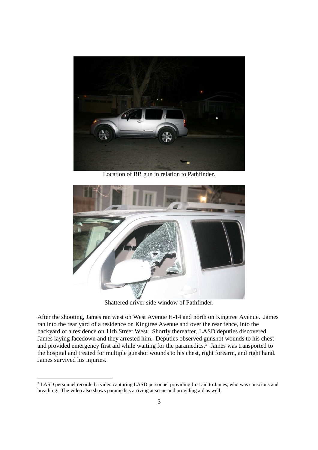

Location of BB gun in relation to Pathfinder.



Shattered driver side window of Pathfinder.

After the shooting, James ran west on West Avenue H-14 and north on Kingtree Avenue. James ran into the rear yard of a residence on Kingtree Avenue and over the rear fence, into the backyard of a residence on 11th Street West. Shortly thereafter, LASD deputies discovered James laying facedown and they arrested him. Deputies observed gunshot wounds to his chest and provided emergency first aid while waiting for the paramedics.<sup>3</sup> James was transported to the hospital and treated for multiple gunshot wounds to his chest, right forearm, and right hand. James survived his injuries.

<sup>&</sup>lt;sup>3</sup> LASD personnel recorded a video capturing LASD personnel providing first aid to James, who was conscious and breathing. The video also shows paramedics arriving at scene and providing aid as well.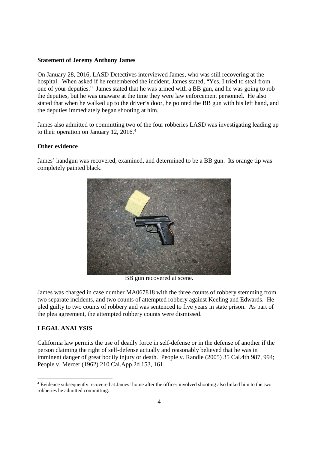#### **Statement of Jeremy Anthony James**

On January 28, 2016, LASD Detectives interviewed James, who was still recovering at the hospital. When asked if he remembered the incident, James stated, "Yes, I tried to steal from one of your deputies." James stated that he was armed with a BB gun, and he was going to rob the deputies, but he was unaware at the time they were law enforcement personnel. He also stated that when he walked up to the driver's door, he pointed the BB gun with his left hand, and the deputies immediately began shooting at him.

James also admitted to committing two of the four robberies LASD was investigating leading up to their operation on January 12, 2016.<sup>4</sup>

# **Other evidence**

James' handgun was recovered, examined, and determined to be a BB gun. Its orange tip was completely painted black.



BB gun recovered at scene.

James was charged in case number MA067818 with the three counts of robbery stemming from two separate incidents, and two counts of attempted robbery against Keeling and Edwards. He pled guilty to two counts of robbery and was sentenced to five years in state prison. As part of the plea agreement, the attempted robbery counts were dismissed.

#### **LEGAL ANALYSIS**

California law permits the use of deadly force in self-defense or in the defense of another if the person claiming the right of self-defense actually and reasonably believed that he was in imminent danger of great bodily injury or death. People v. Randle (2005) 35 Cal.4th 987, 994; People v. Mercer (1962) 210 Cal.App.2d 153, 161.

<sup>4</sup> Evidence subsequently recovered at James' home after the officer involved shooting also linked him to the two robberies he admitted committing.